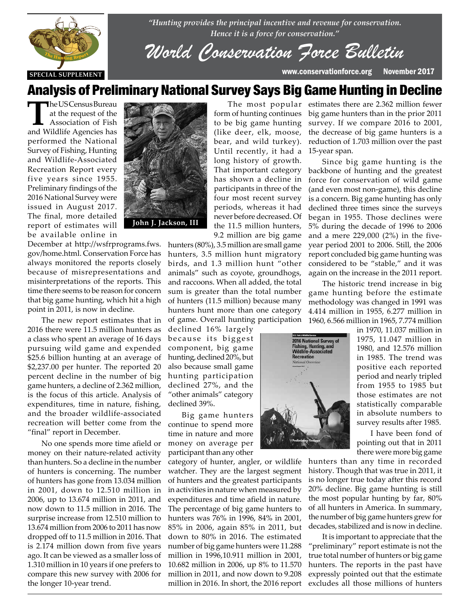

*"Hunting provides the principal incentive and revenue for conservation. Hence it is a force for conservation."*

*World Conservation Force Bulletin*

form of hunting continues to be big game hunting (like deer, elk, moose, bear, and wild turkey). Until recently, it had a long history of growth. That important category

## Analysis of Preliminary National Survey Says Big Game Hunting in Decline

The US Census Bureau<br>
at the request of the<br>
Association of Fish<br>
Association of Fish at the request of the and Wildlife Agencies has performed the National Survey of Fishing, Hunting and Wildlife-Associated Recreation Report every five years since 1955. Preliminary findings of the 2016 National Survey were issued in August 2017. The final, more detailed report of estimates will be available online in

December at http://wsfrprograms.fws. gov/home.html. Conservation Force has always monitored the reports closely always monitored the reports closely<br>because of misrepresentations and misinterpretations of the reports. This time there seems to be reason for concern that big game hunting, which hit a high<br>point in 2011, is now in decline. point in 2011, is now in decline.

> The new report estimates that in 2016 there were 11.5 million hunters as a class who spent an average of 16 days pursuing wild game and expended \$25.6 billion hunting at an average of \$2,237.00 per hunter. The reported 20 percent decline in the number of big game hunters, a decline of 2.362 million, is the focus of this article. Analysis of expenditures, time in nature, fishing, and the broader wildlife-associated recreation will better come from the "final" report in December.

> No one spends more time afield or money on their nature-related activity than hunters. So a decline in the number of hunters is concerning. The number of hunters has gone from 13.034 million in 2001, down to 12.510 million in 2006, up to 13.674 million in 2011, and now down to 11.5 million in 2016. The surprise increase from 12.510 million to 13.674 million from 2006 to 2011 has now dropped off to 11.5 million in 2016. That is 2.174 million down from five years ago. It can be viewed as a smaller loss of 1.310 million in 10 years if one prefers to compare this new survey with 2006 for the longer 10-year trend.



has shown a decline in participants in three of the four most recent survey periods, whereas it had never before decreased. Of the 11.5 million hunters, 9.2 million are big game hunters (80%), 3.5 million are small game hunters, 3.5 million hunt migratory birds, and 1.3 million hunt "other animals" such as coyote, groundhogs, and raccoons. When all added, the total sum is greater than the total number of hunters (11.5 million) because many hunters hunt more than one category

of game. Overall hunting participation declined 16% largely because its biggest component, big game hunting, declined 20%, but also because small game hunting participation declined 27%, and the "other animals" category declined 39%.

Big game hunters continue to spend more time in nature and more money on average per participant than any other

category of hunter, angler, or wildlife watcher. They are the largest segment of hunters and the greatest participants in activities in nature when measured by expenditures and time afield in nature. The percentage of big game hunters to hunters was 76% in 1996, 84% in 2001, 85% in 2006, again 85% in 2011, but down to 80% in 2016. The estimated number of big game hunters were 11.288 million in 1996,10.911 million in 2001, 10.682 million in 2006, up 8% to 11.570 million in 2011, and now down to 9.208 million in 2016. In short, the 2016 report

The most popular estimates there are 2.362 million fewer big game hunters than in the prior 2011 survey. If we compare 2016 to 2001, the decrease of big game hunters is a reduction of 1.703 million over the past 15-year span.

> Since big game hunting is the backbone of hunting and the greatest force for conservation of wild game (and even most non-game), this decline is a concern. Big game hunting has only declined three times since the surveys began in 1955. Those declines were 5% during the decade of 1996 to 2006 and a mere 229,000 (2%) in the fiveyear period 2001 to 2006. Still, the 2006 report concluded big game hunting was considered to be "stable," and it was again on the increase in the 2011 report.

> The historic trend increase in big game hunting before the estimate methodology was changed in 1991 was 4.414 million in 1955, 6.277 million in 1960, 6.566 million in 1965, 7.774 million



in 1970, 11.037 million in 1975, 11.047 million in 1980, and 12.576 million in 1985. The trend was positive each reported period and nearly tripled from 1955 to 1985 but those estimates are not statistically comparable in absolute numbers to survey results after 1985.

I have been fond of pointing out that in 2011 there were more big game

hunters than any time in recorded history. Though that was true in 2011, it is no longer true today after this record 20% decline. Big game hunting is still the most popular hunting by far, 80% of all hunters in America. In summary, the number of big game hunters grew for decades, stabilized and is now in decline.

It is important to appreciate that the "preliminary" report estimate is not the true total number of hunters or big game hunters. The reports in the past have expressly pointed out that the estimate excludes all those millions of hunters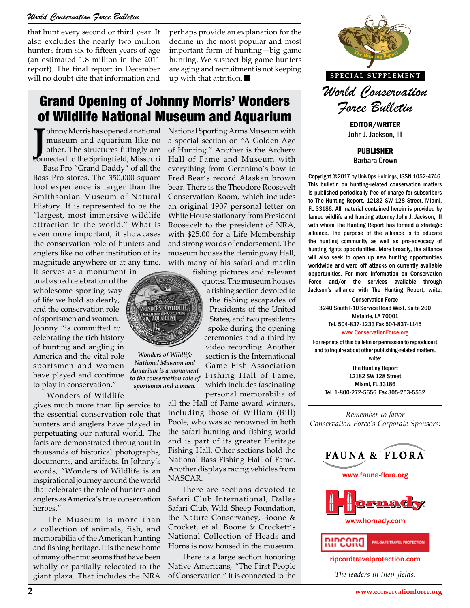#### *World Conservation Force Bulletin*

that hunt every second or third year. It also excludes the nearly two million hunters from six to fifteen years of age (an estimated 1.8 million in the 2011 report). The final report in December will no doubt cite that information and

perhaps provide an explanation for the decline in the most popular and most important form of hunting—big game hunting. We suspect big game hunters are aging and recruitment is not keeping up with that attrition.

### Grand Opening of Johnny Morris' Wonders of Wildlife National Museum and Aquarium

*Wonders of Wildlife National Museum and Aquarium is a monument to the conservation role of sportsmen and women.*

CONS

VONDIRS OF WILDLIFE **AQUARIUM** 

Johnny Morrishas opened a national<br>
museum and aquarium like no<br>
other. The structures fittingly are<br>
connected to the Springfield, Missouri ohnny Morris has opened a national museum and aquarium like no other. The structures fittingly are

Bass Pro "Grand Daddy" of all the Bass Pro stores. The 350,000-square foot experience is larger than the Smithsonian Museum of Natural History. It is represented to be the "largest, most immersive wildlife attraction in the world." What is even more important, it showcases the conservation role of hunters and anglers like no other institution of its magnitude anywhere or at any time.

It serves as a monument in unabashed celebration of the wholesome sporting way of life we hold so dearly, and the conservation role of sportsmen and women. Johnny "is committed to celebrating the rich history of hunting and angling in America and the vital role sportsmen and women have played and continue to play in conservation."

Wonders of Wildlife gives much more than lip service to the essential conservation role that hunters and anglers have played in perpetuating our natural world. The facts are demonstrated throughout in thousands of historical photographs, documents, and artifacts. In Johnny's words, "Wonders of Wildlife is an inspirational journey around the world that celebrates the role of hunters and anglers as America's true conservation heroes."

The Museum is more than a collection of animals, fish, and memorabilia of the American hunting and fishing heritage. It is the new home of many other museums that have been wholly or partially relocated to the giant plaza. That includes the NRA National Sporting Arms Museum with a special section on "A Golden Age of Hunting." Another is the Archery Hall of Fame and Museum with everything from Geronimo's bow to Fred Bear's record Alaskan brown bear. There is the Theodore Roosevelt Conservation Room, which includes an original 1907 personal letter on White House stationary from President Roosevelt to the president of NRA, with \$25.00 for a Life Membership and strong words of endorsement. The museum houses the Hemingway Hall, with many of his safari and marlin

fishing pictures and relevant quotes. The museum houses

a fishing section devoted to the fishing escapades of Presidents of the United States, and two presidents spoke during the opening ceremonies and a third by video recording. Another section is the International Game Fish Association Fishing Hall of Fame, which includes fascinating personal memorabilia of

all the Hall of Fame award winners, including those of William (Bill) Poole, who was so renowned in both the safari hunting and fishing world and is part of its greater Heritage Fishing Hall. Other sections hold the National Bass Fishing Hall of Fame. Another displays racing vehicles from NASCAR.

There are sections devoted to Safari Club International, Dallas Safari Club, Wild Sheep Foundation, the Nature Conservancy, Boone & Crocket, et al. Boone & Crockett's National Collection of Heads and Horns is now housed in the museum.

There is a large section honoring Native Americans, "The First People of Conservation." It is connected to the



EDITOR/WRITER John J. Jackson, III

PUBLISHER Barbara Crown

Copyright ©2017 by UnivOps Holdings, ISSN 1052-4746. This bulletin on hunting-related conservation matters is published periodically free of charge for subscribers to The Hunting Report, 12182 SW 128 Street, Miami, FL 33186. All material contained herein is provided by famed wildlife and hunting attorney John J. Jackson, III with whom The Hunting Report has formed a strategic alliance. The purpose of the alliance is to educate the hunting community as well as pro-advocacy of hunting rights opportunities. More broadly, the alliance will also seek to open up new hunting opportunities ari and marlin worldwide and ward off attacks on currently available<br>S and relevant opportunities. For more information on Conservation opportunities. For more information on Conservation Force and/or the services available through Jackson's alliance with The Hunting Report, write:

Conservation Force g escapades of<br>
5240 South I-10 Service Road West, Suite 200<br>
Metairie 14 70001 Metairie, LA 70001 Tel. 504-837-1233 Fax 504-837-1145 www.ConservationForce.org

> For reprints of this bulletin or permission to reproduce it and to inquire about other publishing-related matters, write:

The Hunting Report 12182 SW 128 Street Miami, FL 33186 Tel. 1-800-272-5656 Fax 305-253-5532

*Remember to favor Conservation Force's Corporate Sponsors:*



ripcordtravelprotection.com

*The leaders in their fields.*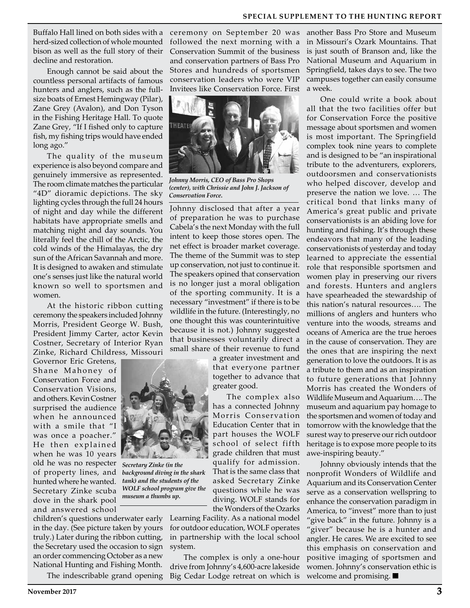Buffalo Hall lined on both sides with a herd-sized collection of whole mounted bison as well as the full story of their decline and restoration.

Enough cannot be said about the countless personal artifacts of famous hunters and anglers, such as the fullsize boats of Ernest Hemingway (Pilar), Zane Grey (Avalon), and Don Tyson in the Fishing Heritage Hall. To quote Zane Grey, "If I fished only to capture fish, my fishing trips would have ended long ago."

The quality of the museum experience is also beyond compare and genuinely immersive as represented. The room climate matches the particular "4D" dioramic depictions. The sky lighting cycles through the full 24 hours of night and day while the different habitats have appropriate smells and matching night and day sounds. You literally feel the chill of the Arctic, the cold winds of the Himalayas, the dry sun of the African Savannah and more. It is designed to awaken and stimulate one's senses just like the natural world known so well to sportsmen and women.

At the historic ribbon cutting ceremony the speakers included Johnny Morris, President George W. Bush, President Jimmy Carter, actor Kevin Costner, Secretary of Interior Ryan Zinke, Richard Childress, Missouri

Governor Eric Gretens, Shane Mahoney of Conservation Force and Conservation Visions, and others. Kevin Costner surprised the audience when he announced with a smile that "I was once a poacher." He then explained when he was 10 years old he was no respecter *Secretary Zinke (in the*  of property lines, and *background diving in the shark*  hunted where he wanted. Secretary Zinke scuba dove in the shark pool and answered school



*tank) and the students of the WOLF school program give the museum a thumbs up.*

children's questions underwater early Learning Facility. As a national model in the day. (See picture taken by yours truly.) Later during the ribbon cutting, the Secretary used the occasion to sign an order commencing October as a new National Hunting and Fishing Month.

The indescribable grand opening

ceremony on September 20 was followed the next morning with a Conservation Summit of the business and conservation partners of Bass Pro Stores and hundreds of sportsmen conservation leaders who were VIP Invitees like Conservation Force. First



*Johnny Morris, CEO of Bass Pro Shops (center), with Chrissie and John J. Jackson of Conservation Force.*

Johnny disclosed that after a year of preparation he was to purchase Cabela's the next Monday with the full intent to keep those stores open. The net effect is broader market coverage. The theme of the Summit was to step up conservation, not just to continue it. The speakers opined that conservation is no longer just a moral obligation of the sporting community. It is a necessary "investment" if there is to be wildlife in the future. (Interestingly, no one thought this was counterintuitive because it is not.) Johnny suggested that businesses voluntarily direct a small share of their revenue to fund

> a greater investment and that everyone partner together to advance that greater good.

The complex also has a connected Johnny Morris Conservation Education Center that in part houses the WOLF school of select fifth grade children that must qualify for admission. That is the same class that asked Secretary Zinke questions while he was diving. WOLF stands for the Wonders of the Ozarks

for outdoor education, WOLF operates in partnership with the local school system.

The complex is only a one-hour drive from Johnny's 4,600-acre lakeside Big Cedar Lodge retreat on which is

another Bass Pro Store and Museum in Missouri's Ozark Mountains. That is just south of Branson and, like the National Museum and Aquarium in Springfield, takes days to see. The two campuses together can easily consume a week.

One could write a book about all that the two facilities offer but for Conservation Force the positive message about sportsmen and women is most important. The Springfield complex took nine years to complete and is designed to be "an inspirational tribute to the adventurers, explorers, outdoorsmen and conservationists who helped discover, develop and preserve the nation we love. … The critical bond that links many of America's great public and private conservationists is an abiding love for hunting and fishing. It's through these endeavors that many of the leading conservationists of yesterday and today learned to appreciate the essential role that responsible sportsmen and women play in preserving our rivers and forests. Hunters and anglers have spearheaded the stewardship of this nation's natural resources…. The millions of anglers and hunters who venture into the woods, streams and oceans of America are the true heroes in the cause of conservation. They are the ones that are inspiring the next generation to love the outdoors. It is as a tribute to them and as an inspiration to future generations that Johnny Morris has created the Wonders of Wildlife Museum and Aquarium…. The museum and aquarium pay homage to the sportsmen and women of today and tomorrow with the knowledge that the surest way to preserve our rich outdoor heritage is to expose more people to its awe-inspiring beauty."

Johnny obviously intends that the nonprofit Wonders of Wildlife and Aquarium and its Conservation Center serve as a conservation wellspring to enhance the conservation paradigm in America, to "invest" more than to just "give back" in the future. Johnny is a "giver" because he is a hunter and angler. He cares. We are excited to see this emphasis on conservation and positive imaging of sportsmen and women. Johnny's conservation ethic is welcome and promising.